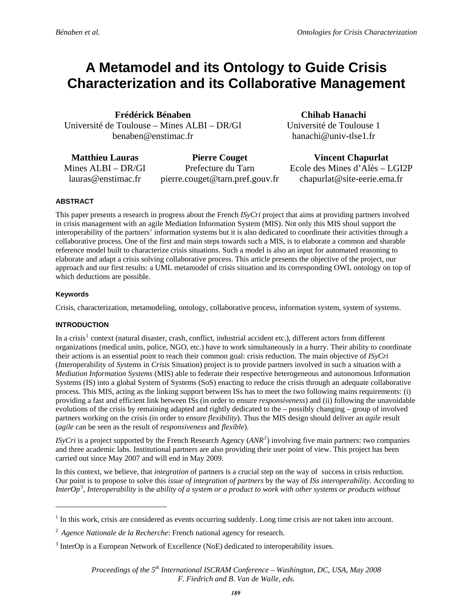# **A Metamodel and its Ontology to Guide Crisis Characterization and its Collaborative Management**

**Frédérick Bénaben**  Université de Toulouse – Mines ALBI – DR/GI benaben@enstimac.fr

**Chihab Hanachi**  Université de Toulouse 1 hanachi@univ-tlse1.fr

**Matthieu Lauras** Mines ALBI – DR/GI lauras@enstimac.fr

**Pierre Couget** Prefecture du Tarn pierre.couget@tarn.pref.gouv.fr

**Vincent Chapurlat** Ecole des Mines d'Alès – LGI2P chapurlat@site-eerie.ema.fr

## **ABSTRACT**

This paper presents a research in progress about the French *ISyCri* project that aims at providing partners involved in crisis management with an agile Mediation Information System (MIS). Not only this MIS shoul support the interoperability of the partners' information systems but it is also dedicated to coordinate their activities through a collaborative process. One of the first and main steps towards such a MIS, is to elaborate a common and sharable reference model built to characterize crisis situations. Such a model is also an input for automated reasoning to elaborate and adapt a crisis solving collaborative process. This article presents the objective of the project, our approach and our first results: a UML metamodel of crisis situation and its corresponding OWL ontology on top of which deductions are possible.

## **Keywords**

 $\overline{a}$ 

Crisis, characterization, metamodeling, ontology, collaborative process, information system, system of systems.

## **INTRODUCTION**

In a crisis<sup>[1](#page-0-0)</sup> context (natural disaster, crash, conflict, industrial accident etc.), different actors from different organizations (medical units, police, NGO, etc.) have to work simultaneously in a hurry. Their ability to coordinate their actions is an essential point to reach their common goal: crisis reduction. The main objective of *ISyCri* (*I*nteroperability of *Sy*stems in *Cri*sis Situation) project is to provide partners involved in such a situation with a *Mediation Information Systems* (MIS) able to federate their respective heterogeneous and autonomous Information Systems (IS) into a global System of Systems (SoS) enacting to reduce the crisis through an adequate collaborative process. This MIS, acting as the linking support between ISs has to meet the two following mains requirements: (i) providing a fast and efficient link between ISs (in order to ensure *responsiveness*) and (ii) following the unavoidable evolutions of the crisis by remaining adapted and rightly dedicated to the – possibly changing – group of involved partners working on the crisis (in order to ensure *flexibility*). Thus the MIS design should deliver an *agile* result (*agile* can be seen as the result of *responsiveness* and *flexible*).

*ISyCri* is a project supported by the French Research Agency (*ANR[2](#page-0-1)* ) involving five main partners: two companies and three academic labs. Institutional partners are also providing their user point of view. This project has been carried out since May 2007 and will end in May 2009.

In this context, we believe, that *integration* of partners is a crucial step on the way of success in crisis reduction. Our point is to propose to solve this *issue of integration of partners* by the way of *ISs interoperability*. According to *InterOp*[3](#page-0-2) , *Interoperability* is the *ability of a system or a product to work with other systems or products without* 

<span id="page-0-0"></span> $<sup>1</sup>$  In this work, crisis are considered as events occurring suddenly. Long time crisis are not taken into account.</sup>

<span id="page-0-1"></span><sup>2</sup>*Agence Nationale de la Recherche*: French national agency for research.

<span id="page-0-2"></span> $3$  InterOp is a European Network of Excellence (NoE) dedicated to interoperability issues.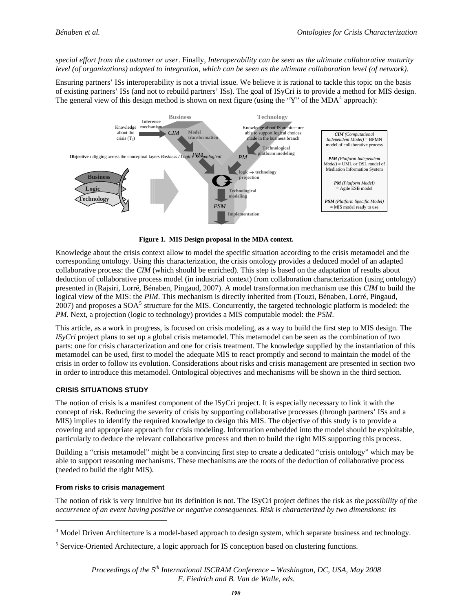*special effort from the customer or user*. Finally, *Interoperability can be seen as the ultimate collaborative maturity level (of organizations) adapted to integration, which can be seen as the ultimate collaboration level (of network)*.

Ensuring partners' ISs interoperability is not a trivial issue. We believe it is rational to tackle this topic on the basis of existing partners' ISs (and not to rebuild partners' ISs). The goal of ISyCri is to provide a method for MIS design. The general view of this design method is shown on next figure (using the "Y" of the MDA $<sup>4</sup>$  $<sup>4</sup>$  $<sup>4</sup>$  approach):</sup>



**Figure 1. MIS Design proposal in the MDA context.** 

Knowledge about the crisis context allow to model the specific situation according to the crisis metamodel and the corresponding ontology. Using this characterization, the crisis ontology provides a deduced model of an adapted collaborative process: the *CIM* (which should be enriched). This step is based on the adaptation of results about deduction of collaborative process model (in industrial context) from collaboration characterization (using ontology) presented in (Rajsiri, Lorré, Bénaben, Pingaud, 2007). A model transformation mechanism use this *CIM* to build the logical view of the MIS: the *PIM*. This mechanism is directly inherited from (Touzi, Bénaben, Lorré, Pingaud,  $2007$ ) and proposes a SOA<sup>[5](#page-1-1)</sup> structure for the MIS. Concurrently, the targeted technologic platform is modeled: the *PM*. Next, a projection (logic to technology) provides a MIS computable model: the *PSM*.

This article, as a work in progress, is focused on crisis modeling, as a way to build the first step to MIS design. The *ISyCri* project plans to set up a global crisis metamodel. This metamodel can be seen as the combination of two parts: one for crisis characterization and one for crisis treatment. The knowledge supplied by the instantiation of this metamodel can be used, first to model the adequate MIS to react promptly and second to maintain the model of the crisis in order to follow its evolution. Considerations about risks and crisis management are presented in section two in order to introduce this metamodel. Ontological objectives and mechanisms will be shown in the third section.

#### **CRISIS SITUATIONS STUDY**

The notion of crisis is a manifest component of the ISyCri project. It is especially necessary to link it with the concept of risk. Reducing the severity of crisis by supporting collaborative processes (through partners' ISs and a MIS) implies to identify the required knowledge to design this MIS. The objective of this study is to provide a covering and appropriate approach for crisis modeling. Information embedded into the model should be exploitable, particularly to deduce the relevant collaborative process and then to build the right MIS supporting this process.

Building a "crisis metamodel" might be a convincing first step to create a dedicated "crisis ontology" which may be able to support reasoning mechanisms. These mechanisms are the roots of the deduction of collaborative process (needed to build the right MIS).

#### **From risks to crisis management**

 $\overline{a}$ 

The notion of risk is very intuitive but its definition is not. The ISyCri project defines the risk as *the possibility of the occurrence of an event having positive or negative consequences. Risk is characterized by two dimensions: its* 

<span id="page-1-0"></span><sup>&</sup>lt;sup>4</sup> Model Driven Architecture is a model-based approach to design system, which separate business and technology.

<span id="page-1-1"></span> $<sup>5</sup>$  Service-Oriented Architecture, a logic approach for IS conception based on clustering functions.</sup>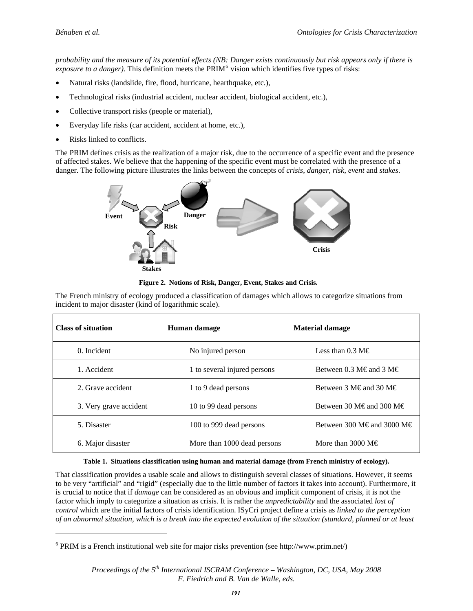$\overline{a}$ 

*probability and the measure of its potential effects (NB: Danger exists continuously but risk appears only if there is*  exposure to a danger). This definition meets the PRIM<sup>[6](#page-2-0)</sup> vision which identifies five types of risks:

- Natural risks (landslide, fire, flood, hurricane, hearthquake, etc.),
- Technological risks (industrial accident, nuclear accident, biological accident, etc.),
- Collective transport risks (people or material),
- Everyday life risks (car accident, accident at home, etc.),
- Risks linked to conflicts.

The PRIM defines crisis as the realization of a major risk, due to the occurrence of a specific event and the presence of affected stakes. We believe that the happening of the specific event must be correlated with the presence of a danger. The following picture illustrates the links between the concepts of *crisis*, *danger*, *risk*, *event* and *stakes*.



**Figure 2. Notions of Risk, Danger, Event, Stakes and Crisis.** 

The French ministry of ecology produced a classification of damages which allows to categorize situations from incident to major disaster (kind of logarithmic scale).

| <b>Class of situation</b> | Human damage                 | <b>Material damage</b>             |
|---------------------------|------------------------------|------------------------------------|
| 0. Incident               | No injured person            | Less than $0.3 \text{ M} \in$      |
| 1. Accident               | 1 to several injured persons | Between 0.3 M $\in$ and 3 M $\in$  |
| 2. Grave accident         | 1 to 9 dead persons          | Between 3 M $\in$ and 30 M $\in$   |
| 3. Very grave accident    | 10 to 99 dead persons        | Between 30 M $\in$ and 300 M $\in$ |
| 5. Disaster               | 100 to 999 dead persons      | Between 300 M€and 3000 M€          |
| 6. Major disaster         | More than 1000 dead persons  | More than 3000 M $\in$             |

**Table 1. Situations classification using human and material damage (from French ministry of ecology).** 

That classification provides a usable scale and allows to distinguish several classes of situations. However, it seems to be very "artificial" and "rigid" (especially due to the little number of factors it takes into account). Furthermore, it is crucial to notice that if *damage* can be considered as an obvious and implicit component of crisis, it is not the factor which imply to categorize a situation as crisis. It is rather the *unpredictability* and the associated *lost of control* which are the initial factors of crisis identification. ISyCri project define a crisis as *linked to the perception of an abnormal situation, which is a break into the expected evolution of the situation (standard, planned or at least* 

<span id="page-2-0"></span> $6$  PRIM is a French institutional web site for major risks prevention (see http://www.prim.net/)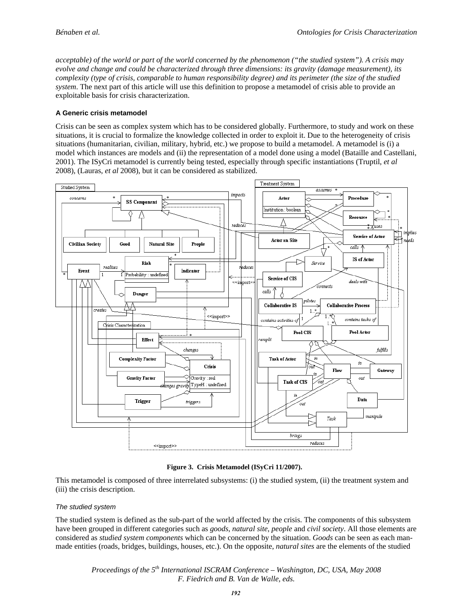*acceptable) of the world or part of the world concerned by the phenomenon ("the studied system"). A crisis may evolve and change and could be characterized through three dimensions: its gravity (damage measurement), its complexity (type of crisis, comparable to human responsibility degree) and its perimeter (the size of the studied system*. The next part of this article will use this definition to propose a metamodel of crisis able to provide an exploitable basis for crisis characterization.

### **A Generic crisis metamodel**

Crisis can be seen as complex system which has to be considered globally. Furthermore, to study and work on these situations, it is crucial to formalize the knowledge collected in order to exploit it. Due to the heterogeneity of crisis situations (humanitarian, civilian, military, hybrid, etc.) we propose to build a metamodel. A metamodel is (i) a model which instances are models and (ii) the representation of a model done using a model (Bataille and Castellani, 2001). The ISyCri metamodel is currently being tested, especially through specific instantiations (Truptil, *et al* 2008), (Lauras, *et al* 2008), but it can be considered as stabilized.



**Figure 3. Crisis Metamodel (ISyCri 11/2007).** 

This metamodel is composed of three interrelated subsystems: (i) the studied system, (ii) the treatment system and (iii) the crisis description.

## *The studied system*

The studied system is defined as the sub-part of the world affected by the crisis. The components of this subsystem have been grouped in different categories such as *goods*, *natural site*, *people* and *civil society*. All those elements are considered as *studied system components* which can be concerned by the situation. *Goods* can be seen as each manmade entities (roads, bridges, buildings, houses, etc.). On the opposite, *natural sites* are the elements of the studied

> *Proceedings of the 5th International ISCRAM Conference – Washington, DC, USA, May 2008 F. Fiedrich and B. Van de Walle, eds.*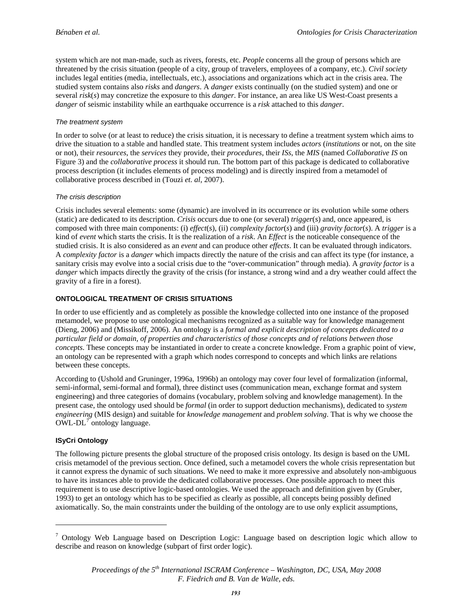system which are not man-made, such as rivers, forests, etc. *People* concerns all the group of persons which are threatened by the crisis situation (people of a city, group of travelers, employees of a company, etc.). *Civil society* includes legal entities (media, intellectuals, etc.), associations and organizations which act in the crisis area. The studied system contains also *risks* and *dangers*. A *danger* exists continually (on the studied system) and one or several *risk*(*s*) may concretize the exposure to this *danger*. For instance, an area like US West-Coast presents a *danger* of seismic instability while an earthquake occurrence is a *risk* attached to this *danger*.

#### *The treatment system*

In order to solve (or at least to reduce) the crisis situation, it is necessary to define a treatment system which aims to drive the situation to a stable and handled state. This treatment system includes *actors* (*institutions* or not, on the site or not), their *resources*, the *services* they provide, their *procedures*, their *ISs*, the *MIS* (named *Collaborative IS* on Figure 3) and the *collaborative process* it should run. The bottom part of this package is dedicated to collaborative process description (it includes elements of process modeling) and is directly inspired from a metamodel of collaborative process described in (Touzi *et. al*, 2007).

#### *The crisis description*

Crisis includes several elements: some (dynamic) are involved in its occurrence or its evolution while some others (static) are dedicated to its description. *Crisis* occurs due to one (or several) *trigger*(*s*) and, once appeared, is composed with three main components: (i) *effect*(*s*), (ii) *complexity factor*(*s*) and (iii) *gravity factor*(*s*). A *trigger* is a kind of *event* which starts the crisis. It is the realization of a *risk*. An *Effect* is the noticeable consequence of the studied crisis. It is also considered as an *event* and can produce other *effects*. It can be evaluated through indicators. A *complexity factor* is a *danger* which impacts directly the nature of the crisis and can affect its type (for instance, a sanitary crisis may evolve into a social crisis due to the "over-communication" through media). A *gravity factor* is a *danger* which impacts directly the gravity of the crisis (for instance, a strong wind and a dry weather could affect the gravity of a fire in a forest).

#### **ONTOLOGICAL TREATMENT OF CRISIS SITUATIONS**

In order to use efficiently and as completely as possible the knowledge collected into one instance of the proposed metamodel, we propose to use ontological mechanisms recognized as a suitable way for knowledge management (Dieng, 2006) and (Missikoff, 2006). An ontology is a *formal and explicit description of concepts dedicated to a particular field or domain, of properties and characteristics of those concepts and of relations between those concepts*. These concepts may be instantiated in order to create a concrete knowledge. From a graphic point of view, an ontology can be represented with a graph which nodes correspond to concepts and which links are relations between these concepts.

According to (Ushold and Gruninger, 1996a, 1996b) an ontology may cover four level of formalization (informal, semi-informal, semi-formal and formal), three distinct uses (communication mean, exchange format and system engineering) and three categories of domains (vocabulary, problem solving and knowledge management). In the present case, the ontology used should be *formal* (in order to support deduction mechanisms), dedicated to *system engineering* (MIS design) and suitable for *knowledge management* and *problem solving*. That is why we choose the  $OWL-DL<sup>7</sup>$  $OWL-DL<sup>7</sup>$  $OWL-DL<sup>7</sup>$  ontology language.

## **ISyCri Ontology**

 $\overline{a}$ 

The following picture presents the global structure of the proposed crisis ontology. Its design is based on the UML crisis metamodel of the previous section. Once defined, such a metamodel covers the whole crisis representation but it cannot express the dynamic of such situations. We need to make it more expressive and absolutely non-ambiguous to have its instances able to provide the dedicated collaborative processes. One possible approach to meet this requirement is to use descriptive logic-based ontologies. We used the approach and definition given by (Gruber, 1993) to get an ontology which has to be specified as clearly as possible, all concepts being possibly defined axiomatically. So, the main constraints under the building of the ontology are to use only explicit assumptions,

<span id="page-4-0"></span><sup>&</sup>lt;sup>7</sup> Ontology Web Language based on Description Logic: Language based on description logic which allow to describe and reason on knowledge (subpart of first order logic).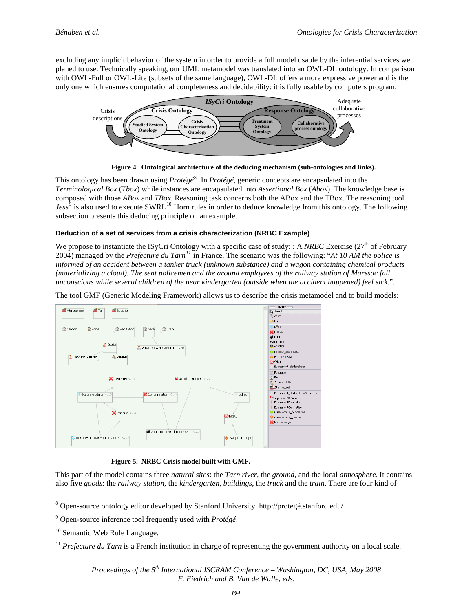excluding any implicit behavior of the system in order to provide a full model usable by the inferential services we planed to use. Technically speaking, our UML metamodel was translated into an OWL-DL ontology. In comparison with OWL-Full or OWL-Lite (subsets of the same language), OWL-DL offers a more expressive power and is the only one which ensures computational completeness and decidability: it is fully usable by computers program.



**Figure 4. Ontological architecture of the deducing mechanism (sub-ontologies and links).** 

This ontology has been drawn using *Protégé*<sup>[8](#page-5-0)</sup>. In *Protégé*, generic concepts are encapsulated into the *Terminological Box* (*Tbox*) while instances are encapsulated into *Assertional Box* (*Abox*). The knowledge base is composed with those *ABox* and *TBox*. Reasoning task concerns both the ABox and the TBox. The reasoning tool  $Jess^9$  $Jess^9$  is also used to execute SWRL<sup>[10](#page-5-2)</sup> Horn rules in order to deduce knowledge from this ontology. The following subsection presents this deducing principle on an example.

#### **Deduction of a set of services from a crisis characterization (NRBC Example)**

We propose to instantiate the ISyCri Ontology with a specific case of study: : A *NRBC* Exercise  $(27<sup>th</sup>$  of February 2004) managed by the *Prefecture du Tarn[11](#page-5-3)* in France. The scenario was the following: "*At 10 AM the police is informed of an accident between a tanker truck (unknown substance) and a wagon containing chemical products (materializing a cloud). The sent policemen and the around employees of the railway station of Marssac fall unconscious while several children of the near kindergarten (outside when the accident happened) feel sick.*".



The tool GMF (Generic Modeling Framework) allows us to describe the crisis metamodel and to build models:

**Figure 5. NRBC Crisis model built with GMF.** 

This part of the model contains three *natural sites*: the *Tarn river*, the *ground*, and the local *atmosphere*. It contains also five *goods*: the *railway station*, the *kindergarten*, *buildings*, the *truck* and the *train*. There are four kind of

 $\overline{a}$ 

*Proceedings of the 5th International ISCRAM Conference – Washington, DC, USA, May 2008 F. Fiedrich and B. Van de Walle, eds.* 

<span id="page-5-0"></span><sup>&</sup>lt;sup>8</sup> Open-source ontology editor developed by Stanford University. http://protégé.stanford.edu/

<span id="page-5-1"></span><sup>9</sup> Open-source inference tool frequently used with *Protégé*.

<span id="page-5-2"></span><sup>&</sup>lt;sup>10</sup> Semantic Web Rule Language.

<span id="page-5-3"></span><sup>&</sup>lt;sup>11</sup> *Prefecture du Tarn* is a French institution in charge of representing the government authority on a local scale.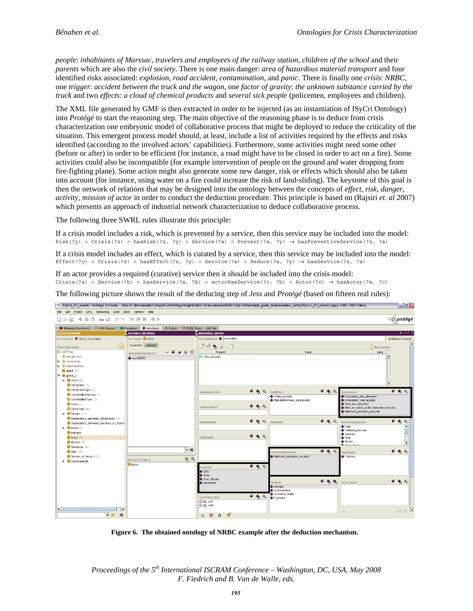*people*: *inhabitants of Marssac*, *travelers and employees of the railway station*, *children of the school* and their *parents* which are also the *civil society*. There is one main danger: *area of hazardous material transport* and four identified risks associated: *explosion, road accident*, *contamination*, and *panic*. There is finally one *crisis*: *NRBC*, one *trigger*: *accident between the truck and the wagon*, one *factor of gravity*: *the unknown substance carried by the truck* and two *effects*: *a cloud of chemical products* and *several sick people* (policemen, employees and children).

The XML file generated by GMF is then extracted in order to be injected (as an instantiation of ISyCri Ontology) into *Protégé* to start the reasoning step. The main objective of the reasoning phase is to deduce from crisis characterization one embryonic model of collaborative process that might be deployed to reduce the criticality of the situation. This emergent process model should, at least, include a list of activities required by the effects and risks identified (according to the involved actors' capabilities). Furthermore, some activities might need some other (before or after) in order to be efficient (for instance, a road might have to be closed in order to act on a fire). Some activities could also be incompatible (for example intervention of people on the ground and water dropping from fire-fighting plane). Some action might also generate some new danger, risk or effects which should also be taken into account (for instance, using water on a fire could increase the risk of land-sliding). The keystone of this goal is then the network of relations that may be designed into the ontology between the concepts of *effect*, *risk*, *danger*, *activity*, *mission of actor* in order to conduct the deduction procedure. This principle is based on (Rajsiri *et. al* 2007) which presents an approach of industrial network characterization to deduce collaborative process.

The following three SWRL rules illustrate this principle:

If a crisis model includes a risk, which is prevented by a service, then this service may be included into the model: Risk(?y) ∧ Crisis(?z) ∧ hasRisk(?z, ?y) ∧ Service(?a) ∧ Prevent(?a, ?y) → hasPreventiveService(?z, ?a)

If a crisis model includes an effect, which is curated by a service, then this service may be included into the model: Effect(?y) ∧ Crisis(?z) ∧ hasEffect(?z, ?y) ∧ Service(?a) ∧ Reduce(?a, ?y) → hasService(?z, ?a)

If an actor provides a required (curative) service then it should be included into the crisis model: Crisis(?a) ∧ Service(?b) ∧ hasService(?a, ?b) ∧ actorHasService(?c, ?b) ∧ Actor(?c) → hasActor(?a, ?c)

The following picture shows the result of the deducing step of *Jess* and *Protégé* (based on fifteen real rules):



**Figure 6. The obtained ontology of NRBC example after the deduction mechanism.** 

*Proceedings of the 5th International ISCRAM Conference – Washington, DC, USA, May 2008 F. Fiedrich and B. Van de Walle, eds.*